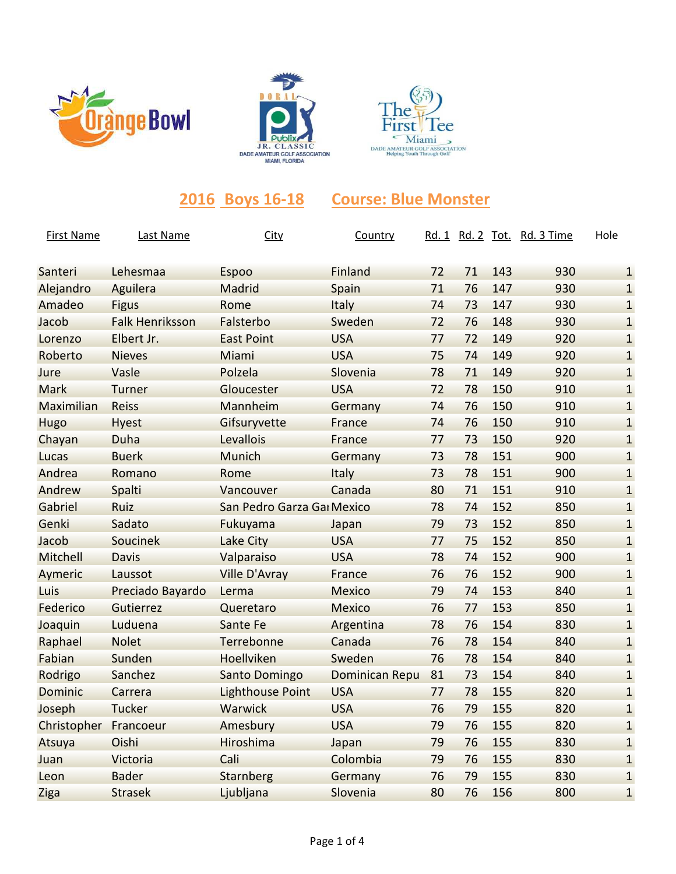





## **2016 Boys 16-18 Course: Blue Monster**

| <b>First Name</b> | Last Name              | <b>City</b>                | Country               |    |    |     | Rd. 1 Rd. 2 Tot. Rd. 3 Time | Hole         |
|-------------------|------------------------|----------------------------|-----------------------|----|----|-----|-----------------------------|--------------|
| Santeri           | Lehesmaa               | Espoo                      | Finland               | 72 | 71 | 143 | 930                         | $\mathbf{1}$ |
| Alejandro         | Aguilera               | Madrid                     | Spain                 | 71 | 76 | 147 | 930                         | $\mathbf{1}$ |
| Amadeo            | <b>Figus</b>           | Rome                       | Italy                 | 74 | 73 | 147 | 930                         | $\mathbf{1}$ |
| Jacob             | <b>Falk Henriksson</b> | Falsterbo                  | Sweden                | 72 | 76 | 148 | 930                         | $\mathbf{1}$ |
| Lorenzo           | Elbert Jr.             | <b>East Point</b>          | <b>USA</b>            | 77 | 72 | 149 | 920                         | $\mathbf{1}$ |
| Roberto           | <b>Nieves</b>          | Miami                      | <b>USA</b>            | 75 | 74 | 149 | 920                         | $\mathbf{1}$ |
| Jure              | Vasle                  | Polzela                    | Slovenia              | 78 | 71 | 149 | 920                         | $\mathbf{1}$ |
| Mark              | Turner                 | Gloucester                 | <b>USA</b>            | 72 | 78 | 150 | 910                         | $\mathbf{1}$ |
| Maximilian        | <b>Reiss</b>           | Mannheim                   | Germany               | 74 | 76 | 150 | 910                         | $\mathbf{1}$ |
| Hugo              | <b>Hyest</b>           | Gifsuryvette               | France                | 74 | 76 | 150 | 910                         | $\mathbf{1}$ |
| Chayan            | Duha                   | Levallois                  | France                | 77 | 73 | 150 | 920                         | $\mathbf{1}$ |
| Lucas             | <b>Buerk</b>           | Munich                     | Germany               | 73 | 78 | 151 | 900                         | $\mathbf{1}$ |
| Andrea            | Romano                 | Rome                       | Italy                 | 73 | 78 | 151 | 900                         | $\mathbf{1}$ |
| Andrew            | Spalti                 | Vancouver                  | Canada                | 80 | 71 | 151 | 910                         | $\mathbf{1}$ |
| Gabriel           | Ruiz                   | San Pedro Garza Gai Mexico |                       | 78 | 74 | 152 | 850                         | $\mathbf{1}$ |
| Genki             | Sadato                 | Fukuyama                   | Japan                 | 79 | 73 | 152 | 850                         | $\mathbf{1}$ |
| Jacob             | Soucinek               | Lake City                  | <b>USA</b>            | 77 | 75 | 152 | 850                         | $\mathbf{1}$ |
| Mitchell          | <b>Davis</b>           | Valparaiso                 | <b>USA</b>            | 78 | 74 | 152 | 900                         | $\mathbf{1}$ |
| Aymeric           | Laussot                | <b>Ville D'Avray</b>       | France                | 76 | 76 | 152 | 900                         | $\mathbf{1}$ |
| Luis              | Preciado Bayardo       | Lerma                      | <b>Mexico</b>         | 79 | 74 | 153 | 840                         | $\mathbf{1}$ |
| Federico          | Gutierrez              | Queretaro                  | <b>Mexico</b>         | 76 | 77 | 153 | 850                         | $\mathbf{1}$ |
| Joaquin           | Luduena                | Sante Fe                   | Argentina             | 78 | 76 | 154 | 830                         | $\mathbf{1}$ |
| Raphael           | <b>Nolet</b>           | Terrebonne                 | Canada                | 76 | 78 | 154 | 840                         | $\mathbf{1}$ |
| Fabian            | Sunden                 | Hoellviken                 | Sweden                | 76 | 78 | 154 | 840                         | $\mathbf{1}$ |
| Rodrigo           | Sanchez                | Santo Domingo              | <b>Dominican Repu</b> | 81 | 73 | 154 | 840                         | $\mathbf{1}$ |
| Dominic           | Carrera                | <b>Lighthouse Point</b>    | <b>USA</b>            | 77 | 78 | 155 | 820                         | $\mathbf{1}$ |
| Joseph            | Tucker                 | Warwick                    | <b>USA</b>            | 76 | 79 | 155 | 820                         | $\mathbf{1}$ |
| Christopher       | Francoeur              | Amesbury                   | <b>USA</b>            | 79 | 76 | 155 | 820                         | $\mathbf{1}$ |
| Atsuya            | Oishi                  | Hiroshima                  | Japan                 | 79 | 76 | 155 | 830                         | $\mathbf{1}$ |
| Juan              | Victoria               | Cali                       | Colombia              | 79 | 76 | 155 | 830                         | $\mathbf{1}$ |
| Leon              | <b>Bader</b>           | <b>Starnberg</b>           | Germany               | 76 | 79 | 155 | 830                         | $\mathbf{1}$ |
| Ziga              | <b>Strasek</b>         | Ljubljana                  | Slovenia              | 80 | 76 | 156 | 800                         | $\mathbf{1}$ |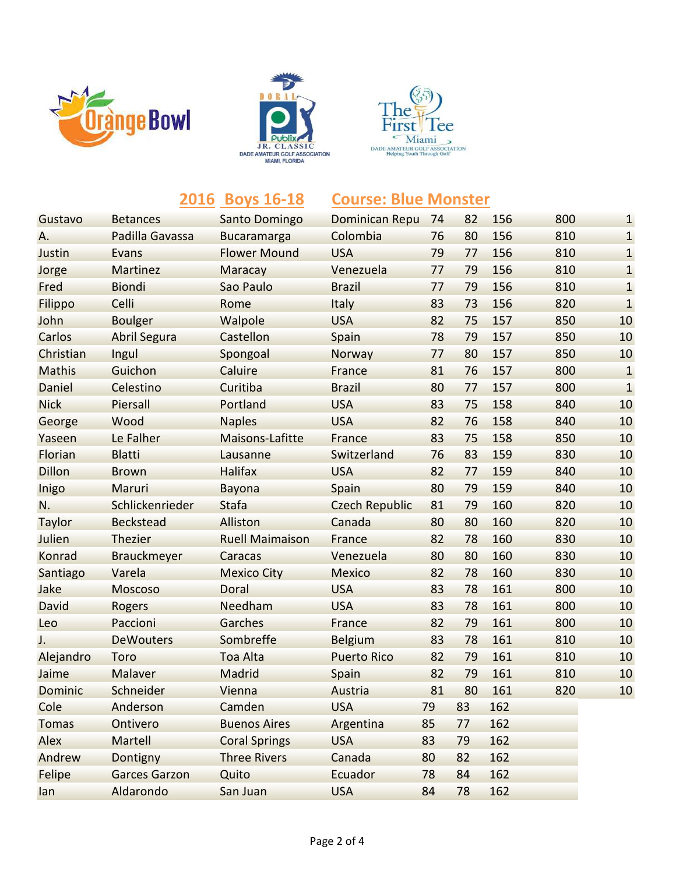





|               |                      | 2016 Boys 16-18        | <b>Course: Blue Monster</b> |    |    |     |     |              |
|---------------|----------------------|------------------------|-----------------------------|----|----|-----|-----|--------------|
| Gustavo       | <b>Betances</b>      | Santo Domingo          | <b>Dominican Repu</b>       | 74 | 82 | 156 | 800 | $\mathbf{1}$ |
| Α.            | Padilla Gavassa      | <b>Bucaramarga</b>     | Colombia                    | 76 | 80 | 156 | 810 | $\mathbf{1}$ |
| Justin        | <b>Evans</b>         | <b>Flower Mound</b>    | <b>USA</b>                  | 79 | 77 | 156 | 810 | $\mathbf{1}$ |
| Jorge         | Martinez             | Maracay                | Venezuela                   | 77 | 79 | 156 | 810 | $\mathbf{1}$ |
| Fred          | <b>Biondi</b>        | Sao Paulo              | <b>Brazil</b>               | 77 | 79 | 156 | 810 | $\mathbf{1}$ |
| Filippo       | Celli                | Rome                   | <b>Italy</b>                | 83 | 73 | 156 | 820 | $\mathbf{1}$ |
| John          | <b>Boulger</b>       | Walpole                | <b>USA</b>                  | 82 | 75 | 157 | 850 | 10           |
| Carlos        | <b>Abril Segura</b>  | Castellon              | Spain                       | 78 | 79 | 157 | 850 | 10           |
| Christian     | Ingul                | Spongoal               | Norway                      | 77 | 80 | 157 | 850 | 10           |
| <b>Mathis</b> | Guichon              | Caluire                | France                      | 81 | 76 | 157 | 800 | $\mathbf{1}$ |
| Daniel        | Celestino            | Curitiba               | <b>Brazil</b>               | 80 | 77 | 157 | 800 | $\mathbf{1}$ |
| <b>Nick</b>   | Piersall             | Portland               | <b>USA</b>                  | 83 | 75 | 158 | 840 | 10           |
| George        | Wood                 | <b>Naples</b>          | <b>USA</b>                  | 82 | 76 | 158 | 840 | 10           |
| Yaseen        | Le Falher            | <b>Maisons-Lafitte</b> | France                      | 83 | 75 | 158 | 850 | 10           |
| Florian       | <b>Blatti</b>        | Lausanne               | Switzerland                 | 76 | 83 | 159 | 830 | 10           |
| <b>Dillon</b> | <b>Brown</b>         | <b>Halifax</b>         | <b>USA</b>                  | 82 | 77 | 159 | 840 | 10           |
| Inigo         | Maruri               | <b>Bayona</b>          | Spain                       | 80 | 79 | 159 | 840 | 10           |
| N.            | Schlickenrieder      | <b>Stafa</b>           | <b>Czech Republic</b>       | 81 | 79 | 160 | 820 | 10           |
| Taylor        | <b>Beckstead</b>     | Alliston               | Canada                      | 80 | 80 | 160 | 820 | 10           |
| Julien        | Thezier              | <b>Ruell Maimaison</b> | France                      | 82 | 78 | 160 | 830 | 10           |
| Konrad        | <b>Brauckmeyer</b>   | Caracas                | Venezuela                   | 80 | 80 | 160 | 830 | 10           |
| Santiago      | Varela               | <b>Mexico City</b>     | <b>Mexico</b>               | 82 | 78 | 160 | 830 | 10           |
| Jake          | <b>Moscoso</b>       | Doral                  | <b>USA</b>                  | 83 | 78 | 161 | 800 | 10           |
| David         | Rogers               | Needham                | <b>USA</b>                  | 83 | 78 | 161 | 800 | 10           |
| Leo           | Paccioni             | Garches                | France                      | 82 | 79 | 161 | 800 | 10           |
| J.            | <b>DeWouters</b>     | Sombreffe              | <b>Belgium</b>              | 83 | 78 | 161 | 810 | 10           |
| Alejandro     | Toro                 | Toa Alta               | <b>Puerto Rico</b>          | 82 | 79 | 161 | 810 | 10           |
| Jaime         | Malaver              | Madrid                 | Spain                       | 82 | 79 | 161 | 810 | 10           |
| Dominic       | Schneider            | Vienna                 | Austria                     | 81 | 80 | 161 | 820 | 10           |
| Cole          | Anderson             | Camden                 | <b>USA</b>                  | 79 | 83 | 162 |     |              |
| <b>Tomas</b>  | Ontivero             | <b>Buenos Aires</b>    | Argentina                   | 85 | 77 | 162 |     |              |
| Alex          | Martell              | <b>Coral Springs</b>   | <b>USA</b>                  | 83 | 79 | 162 |     |              |
| Andrew        | Dontigny             | <b>Three Rivers</b>    | Canada                      | 80 | 82 | 162 |     |              |
| Felipe        | <b>Garces Garzon</b> | Quito                  | Ecuador                     | 78 | 84 | 162 |     |              |
| lan           | Aldarondo            | San Juan               | <b>USA</b>                  | 84 | 78 | 162 |     |              |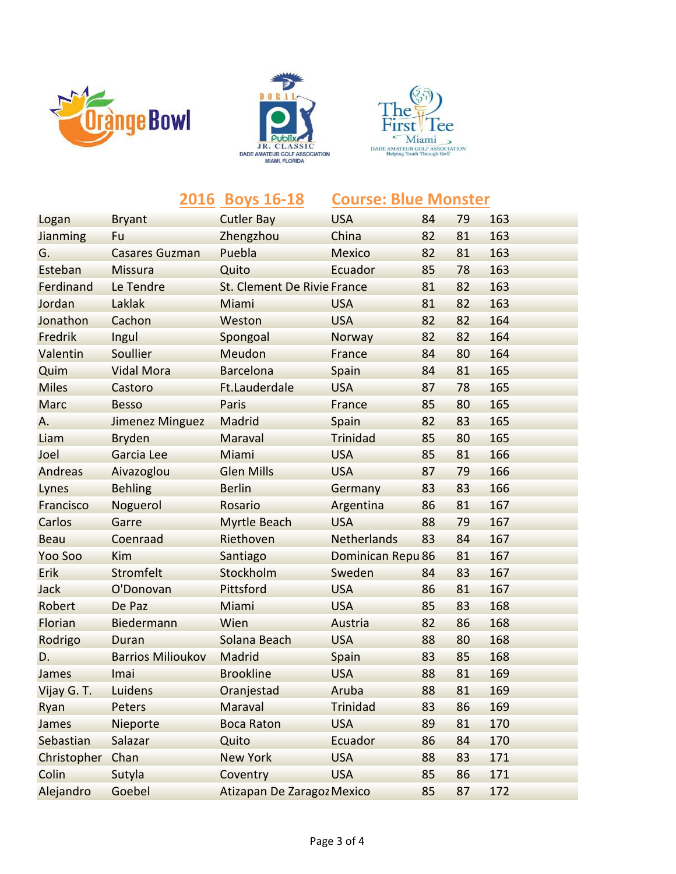





|              |                          | 2016 Boys 16-18             | <b>Course: Blue Monster</b> |    |    |     |
|--------------|--------------------------|-----------------------------|-----------------------------|----|----|-----|
| Logan        | <b>Bryant</b>            | <b>Cutler Bay</b>           | <b>USA</b>                  | 84 | 79 | 163 |
| Jianming     | Fu                       | Zhengzhou                   | China                       | 82 | 81 | 163 |
| G.           | <b>Casares Guzman</b>    | Puebla                      | <b>Mexico</b>               | 82 | 81 | 163 |
| Esteban      | <b>Missura</b>           | Quito                       | Ecuador                     | 85 | 78 | 163 |
| Ferdinand    | Le Tendre                | St. Clement De Rivie France |                             | 81 | 82 | 163 |
| Jordan       | Laklak                   | Miami                       | <b>USA</b>                  | 81 | 82 | 163 |
| Jonathon     | Cachon                   | Weston                      | <b>USA</b>                  | 82 | 82 | 164 |
| Fredrik      | Ingul                    | Spongoal                    | Norway                      | 82 | 82 | 164 |
| Valentin     | Soullier                 | Meudon                      | France                      | 84 | 80 | 164 |
| Quim         | <b>Vidal Mora</b>        | <b>Barcelona</b>            | Spain                       | 84 | 81 | 165 |
| <b>Miles</b> | Castoro                  | Ft.Lauderdale               | <b>USA</b>                  | 87 | 78 | 165 |
| <b>Marc</b>  | <b>Besso</b>             | Paris                       | France                      | 85 | 80 | 165 |
| Α.           | <b>Jimenez Minguez</b>   | Madrid                      | Spain                       | 82 | 83 | 165 |
| Liam         | <b>Bryden</b>            | Maraval                     | <b>Trinidad</b>             | 85 | 80 | 165 |
| Joel         | Garcia Lee               | Miami                       | <b>USA</b>                  | 85 | 81 | 166 |
| Andreas      | Aivazoglou               | <b>Glen Mills</b>           | <b>USA</b>                  | 87 | 79 | 166 |
| Lynes        | <b>Behling</b>           | <b>Berlin</b>               | Germany                     | 83 | 83 | 166 |
| Francisco    | Noguerol                 | Rosario                     | Argentina                   | 86 | 81 | 167 |
| Carlos       | Garre                    | <b>Myrtle Beach</b>         | <b>USA</b>                  | 88 | 79 | 167 |
| <b>Beau</b>  | Coenraad                 | Riethoven                   | <b>Netherlands</b>          | 83 | 84 | 167 |
| Yoo Soo      | Kim                      | Santiago                    | Dominican Repu 86           |    | 81 | 167 |
| Erik         | Stromfelt                | Stockholm                   | Sweden                      | 84 | 83 | 167 |
| Jack         | O'Donovan                | Pittsford                   | <b>USA</b>                  | 86 | 81 | 167 |
| Robert       | De Paz                   | Miami                       | <b>USA</b>                  | 85 | 83 | 168 |
| Florian      | Biedermann               | Wien                        | Austria                     | 82 | 86 | 168 |
| Rodrigo      | Duran                    | Solana Beach                | <b>USA</b>                  | 88 | 80 | 168 |
| D.           | <b>Barrios Milioukov</b> | Madrid                      | Spain                       | 83 | 85 | 168 |
| James        | Imai                     | <b>Brookline</b>            | <b>USA</b>                  | 88 | 81 | 169 |
| Vijay G. T.  | Luidens                  | Oranjestad                  | Aruba                       | 88 | 81 | 169 |
| Ryan         | Peters                   | Maraval                     | <b>Trinidad</b>             | 83 | 86 | 169 |
| James        | Nieporte                 | <b>Boca Raton</b>           | <b>USA</b>                  | 89 | 81 | 170 |
| Sebastian    | Salazar                  | Quito                       | Ecuador                     | 86 | 84 | 170 |
| Christopher  | Chan                     | <b>New York</b>             | <b>USA</b>                  | 88 | 83 | 171 |
| Colin        | Sutyla                   | Coventry                    | <b>USA</b>                  | 85 | 86 | 171 |
| Alejandro    | Goebel                   | Atizapan De Zaragoz Mexico  |                             | 85 | 87 | 172 |